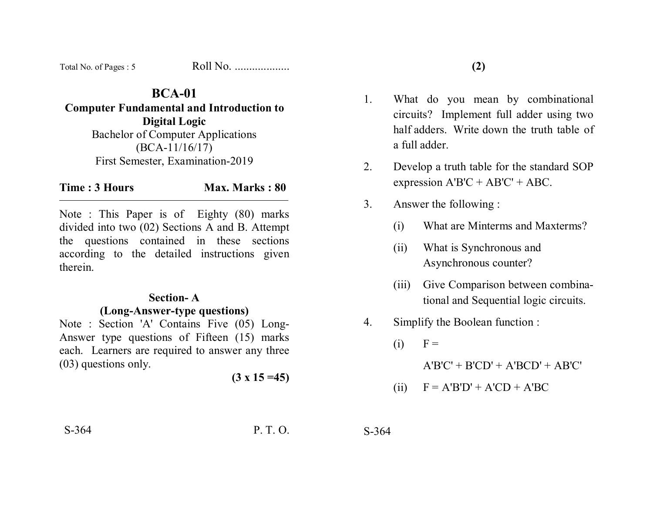| Total No. of Pages: 5 | Roll No. |
|-----------------------|----------|
|-----------------------|----------|

# **BCA-01**

**Computer Fundamental and Introduction to Digital Logic**  Bachelor of Computer Applications (BCA-11/16/17) First Semester, Examination-2019

**Time : 3 Hours Max. Marks : 80** 

Note : This Paper is of Eighty (80) marks divided into two (02) Sections A and B. Attempt the questions contained in these sections according to the detailed instructions given therein.

### **Section- A (Long-Answer-type questions)**

Note : Section 'A' Contains Five (05) Long-Answer type questions of Fifteen (15) marks each. Learners are required to answer any three (03) questions only.

 $(3 \times 15 = 45)$ 

- 1. What do you mean by combinational circuits? Implement full adder using two half adders. Write down the truth table of a full adder.
- 2. Develop a truth table for the standard SOP expression  $A'B'C + AB'C' + ABC$ .
- 3. Answer the following :
	- (i) What are Minterms and Maxterms?
	- (ii) What is Synchronous and Asynchronous counter?
	- (iii) Give Comparison between combinational and Sequential logic circuits.
- 4. Simplify the Boolean function :
	- $(i)$   $F =$

 $A'B'C' + B'CD' + A'BCD' + AB'C'$ 

$$
(ii) \tF = A'B'D' + A'CD + A'BC
$$

S-364 P. T. O. S-364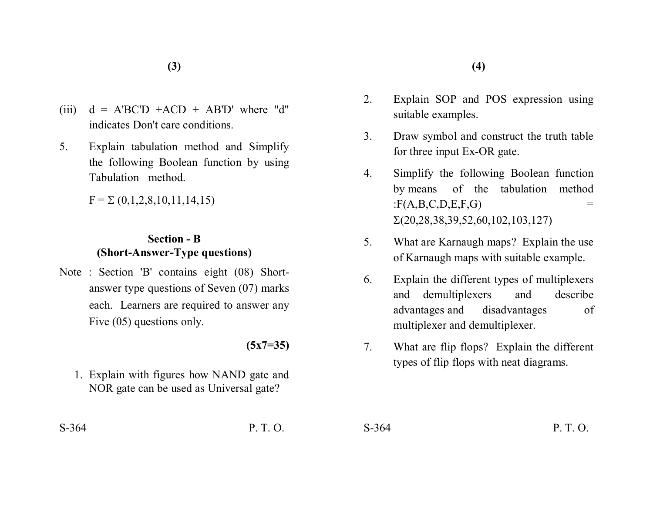- (iii)  $d = A'BC'D + ACD + AB'D'$  where "d" indicates Don't care conditions.
- 5. Explain tabulation method and Simplify the following Boolean function by using Tabulation method.

 $F = \Sigma (0,1,2,8,10,11,14,15)$ 

## **Section - B (Short-Answer-Type questions)**

Note : Section 'B' contains eight (08) Shortanswer type questions of Seven (07) marks each. Learners are required to answer any Five (05) questions only.

#### **(5x7=35)**

1. Explain with figures how NAND gate and NOR gate can be used as Universal gate?

- 2. Explain SOP and POS expression using suitable examples.
- 3. Draw symbol and construct the truth table for three input Ex-OR gate.
- 4. Simplify the following Boolean function by means of the tabulation method  $: F(A, B, C, D, E, F, G)$  =  $\Sigma(20, 28, 38, 39, 52, 60, 102, 103, 127)$
- 5. What are Karnaugh maps? Explain the use of Karnaugh maps with suitable example.
- 6. Explain the different types of multiplexers and demultiplexers and describe advantages and disadvantages of multiplexer and demultiplexer.
- 7. What are flip flops? Explain the different types of flip flops with neat diagrams.

S-364 P. T. O. S-364 P. T. O.